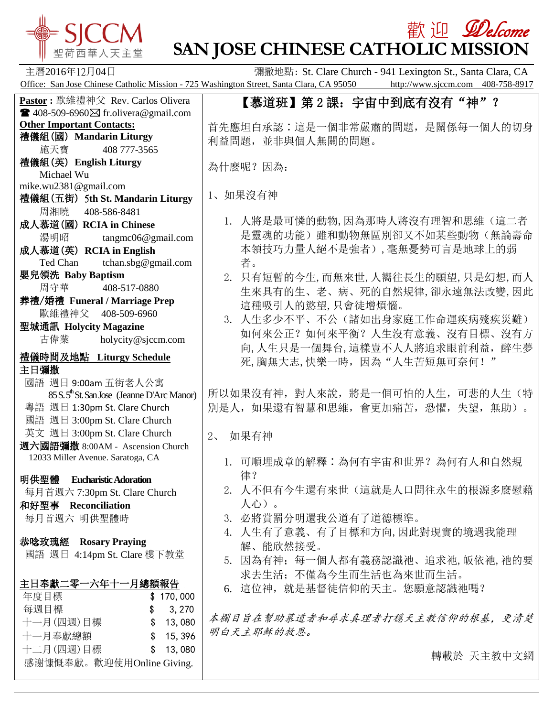**歡迎** *Welcome* **SAN JOSE CHINESE CATHOLIC MISSION** 聖荷西華人天主堂 主曆2016年12月04日 彌撒地點: St. Clare Church - 941 Lexington St., Santa Clara, CA Office: San Jose Chinese Catholic Mission - 725 Washington Street, Santa Clara, CA 95050 http://www.sjccm.com 408-758-8917 **Pastor :** 歐維禮神父 Rev. Carlos Olivera 【慕道班】第2課:宇宙中到底有沒有"神"?  $\blacksquare$  408-509-6960 $\boxtimes$  fr.olivera@gmail.com **Other Important Contacts:** 首先應坦白承認∶這是一個非常嚴肅的問題,是關係每一個人的切身 禮儀組(國) **Mandarin Liturgy** 利益問題,並非與個人無關的問題。 施天寶 408 777-3565 禮儀組(英) **English Liturgy** 為什麼呢?因為: Michael Wu mike.wu2381@gmail.com 1、如果沒有神 禮儀組(五街) 5**th St. Mandarin Liturgy** 周湘曉 408-586-8481 1. 人將是最可憐的動物,因為那時人將沒有理智和思維(這二者 成人慕道(國) **RCIA in Chinese** 是靈魂的功能)雖和動物無區別卻又不如某些動物(無論壽命 湯明昭 tangmc06@gmail.com 本領技巧力量人絕不是強者),毫無憂勢可言是地球上的弱 成人慕道(英) **RCIA in English** Ted Chan tchan.sbg@gmail.com 者。 嬰兒領洗 **Baby Baptism** 2. 只有短暫的今生,而無來世,人嚮往長生的願望,只是幻想,而人 周守華 408-517-0880 生來具有的生、老、病、死的自然規律,卻永遠無法改變,因此 葬禮/婚禮 **Funeral / Marriage Prep** 這種吸引人的慾望,只會徒增煩惱。 歐維禮神父 408-509-6960 3. 人生多少不平、不公(諸如出身家庭工作命運疾病殘疾災難) 聖城通訊 **Holycity Magazine** 如何來公正?如何來平衡?人生沒有意義、沒有目標、沒有方 古偉業 [holycity@sjccm.com](mailto:holycity@sjccm.com) 向,人生只是一個舞台,這樣豈不人人將追求眼前利益,醉生夢 禮儀時間及地點 **Liturgy Schedule** 死,胸無大志,快樂一時,因為"人生苦短無可奈何!" 主日彌撒 國語 週日 9:00am 五街老人公寓 所以如果沒有神,對人來說,將是一個可怕的人生,可悲的人生(特  $85 S. 5<sup>th</sup>$ St. San Jose (Jeanne D'Arc Manor) 粵語 週日 1:30pm St. Clare Church 別是人,如果還有智慧和思維,會更加痛苦,恐懼,失望,無助)。 國語 週日 3:00pm St. Clare Church 英文 週日 3:00pm St. Clare Church 2、 如果有神 週六國語彌撒 8:00AM - Ascension Church 12033 Miller Avenue. Saratoga, CA 1. 可順埋成章的解釋∶為何有宇宙和世界?為何有人和自然規 律? 明供聖體 **Eucharistic Adoration** 2. 人不但有今生還有來世(這就是人口問往永生的根源多麼慰藉 每月首週六 7:30pm St. Clare Church 人心)。 和好聖事 **Reconciliation** 每月首週六 明供聖體時 3. 必將賞罰分明還我公道有了道德標準。 4. 人生有了意義、有了目標和方向,因此對現實的境遇我能理 恭唸玫瑰經 **Rosary Praying** 解、能欣然接受。 國語 週日 4:14pm St. Clare 樓下教堂 5. 因為有神;每一個人都有義務認識祂、追求祂,皈依祂,祂的要 求去生活;不僅為今生而生活也為來世而生活。 主日奉獻二零一六年十一月總額報告 6. 這位神,就是基督徒信仰的天主。您願意認識祂嗎? 年度目標 \$ 170,000 每週目標 \$ 3,270 本欄目旨在幫助慕道者和尋求真理者打穩天主教信仰的根基,更清楚 十一月(四週)目標 \$ 13,080 明白天主耶穌的救恩。 十一月奉獻總額 \$ 15,396 十二月(四週)目標 \$ 13,080 轉載於 [天主教中文網](http://mp.weixin.qq.com/s?__biz=MjM5OTM5ODAxMg==&mid=2653787152&idx=7&sn=b7aa01461b3efc307ade0c6aae3bfd38&chksm=bce52b038b92a215595285d6d06c212f094b3500a7f8c817d711d91e2d0c05a51209e1a14d49&scene=0#wechat_redirect)感謝慷慨奉獻。歡迎使用Online Giving.